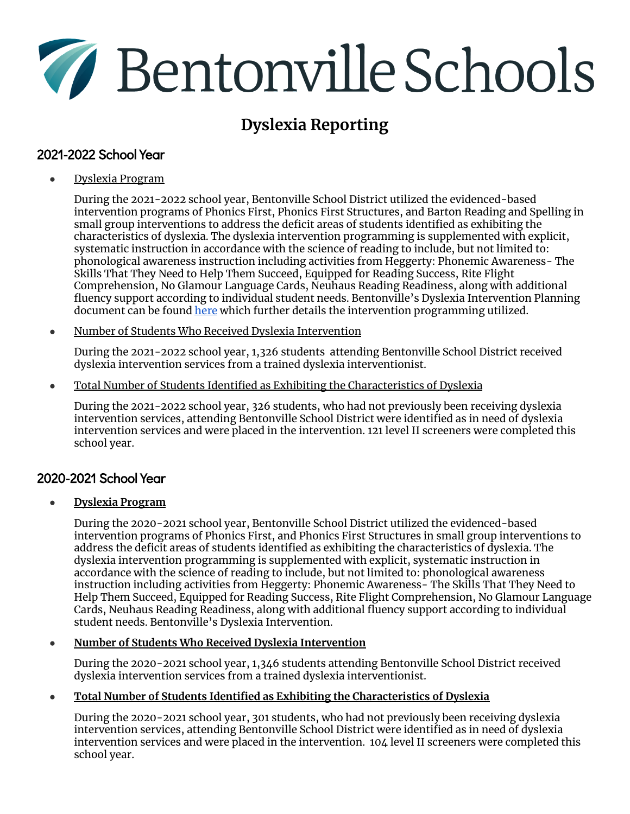# Bentonville Schools

# **Dyslexia Reporting**

# 2021-2022 School Year

● Dyslexia Program

During the 2021-2022 school year, Bentonville School District utilized the evidenced-based intervention programs of Phonics First, Phonics First Structures, and Barton Reading and Spelling in small group interventions to address the deficit areas of students identified as exhibiting the characteristics of dyslexia. The dyslexia intervention programming is supplemented with explicit, systematic instruction in accordance with the science of reading to include, but not limited to: phonological awareness instruction including activities from Heggerty: Phonemic Awareness- The Skills That They Need to Help Them Succeed, Equipped for Reading Success, Rite Flight Comprehension, No Glamour Language Cards, Neuhaus Reading Readiness, along with additional fluency support according to individual student needs. Bentonville's Dyslexia Intervention Planning document can be found [here](https://drive.google.com/file/d/1w6m75aw3I90YpX5Ib39kQHmf0I45_aAZ/view?usp=sharing) which further details the intervention programming utilized.

● Number of Students Who Received Dyslexia Intervention

During the 2021-2022 school year, 1,326 students attending Bentonville School District received dyslexia intervention services from a trained dyslexia interventionist.

● Total Number of Students Identified as Exhibiting the Characteristics of Dyslexia

During the 2021-2022 school year, 326 students, who had not previously been receiving dyslexia intervention services, attending Bentonville School District were identified as in need of dyslexia intervention services and were placed in the intervention. 121 level II screeners were completed this school year.

# 2020-2021 School Year

# **● Dyslexia Program**

During the 2020-2021 school year, Bentonville School District utilized the evidenced-based intervention programs of Phonics First, and Phonics First Structures in small group interventions to address the deficit areas of students identified as exhibiting the characteristics of dyslexia. The dyslexia intervention programming is supplemented with explicit, systematic instruction in accordance with the science of reading to include, but not limited to: phonological awareness instruction including activities from Heggerty: Phonemic Awareness- The Skills That They Need to Help Them Succeed, Equipped for Reading Success, Rite Flight Comprehension, No Glamour Language Cards, Neuhaus Reading Readiness, along with additional fluency support according to individual student needs. Bentonville's Dyslexia Intervention.

# ● **Number of Students Who Received Dyslexia Intervention**

During the 2020-2021 school year, 1,346 students attending Bentonville School District received dyslexia intervention services from a trained dyslexia interventionist.

# ● **Total Number of Students Identified as Exhibiting the Characteristics of Dyslexia**

During the 2020-2021 school year, 301 students, who had not previously been receiving dyslexia intervention services, attending Bentonville School District were identified as in need of dyslexia intervention services and were placed in the intervention. 104 level II screeners were completed this school year.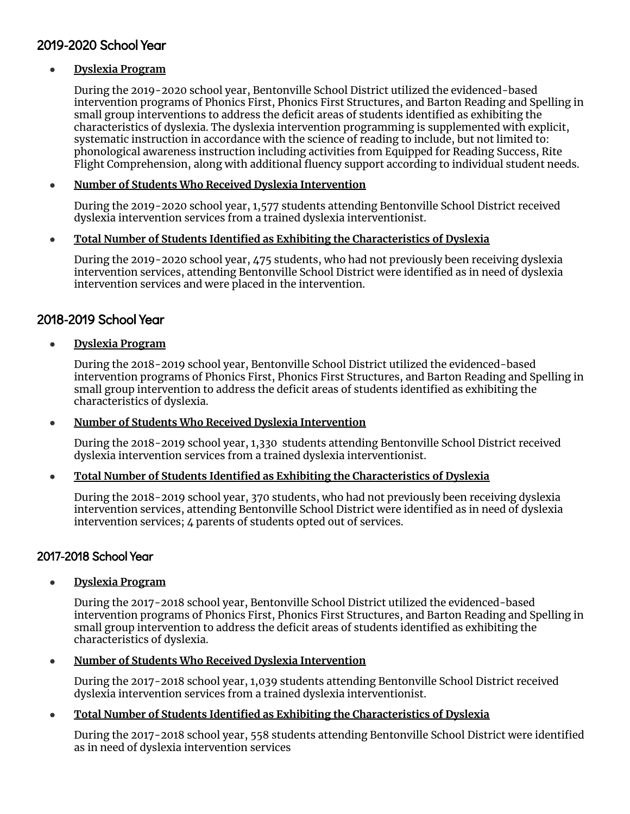# 2019-2020 School Year

#### **● Dyslexia Program**

During the 2019-2020 school year, Bentonville School District utilized the evidenced-based intervention programs of Phonics First, Phonics First Structures, and Barton Reading and Spelling in small group interventions to address the deficit areas of students identified as exhibiting the characteristics of dyslexia. The dyslexia intervention programming is supplemented with explicit, systematic instruction in accordance with the science of reading to include, but not limited to: phonological awareness instruction including activities from Equipped for Reading Success, Rite Flight Comprehension, along with additional fluency support according to individual student needs.

#### ● **Number of Students Who Received Dyslexia Intervention**

During the 2019-2020 school year, 1,577 students attending Bentonville School District received dyslexia intervention services from a trained dyslexia interventionist.

#### ● **Total Number of Students Identified as Exhibiting the Characteristics of Dyslexia**

During the 2019-2020 school year, 475 students, who had not previously been receiving dyslexia intervention services, attending Bentonville School District were identified as in need of dyslexia intervention services and were placed in the intervention.

# 2018-2019 School Year

#### **● Dyslexia Program**

During the 2018-2019 school year, Bentonville School District utilized the evidenced-based intervention programs of Phonics First, Phonics First Structures, and Barton Reading and Spelling in small group intervention to address the deficit areas of students identified as exhibiting the characteristics of dyslexia.

#### ● **Number of Students Who Received Dyslexia Intervention**

During the 2018-2019 school year, 1,330 students attending Bentonville School District received dyslexia intervention services from a trained dyslexia interventionist.

#### ● **Total Number of Students Identified as Exhibiting the Characteristics of Dyslexia**

During the 2018-2019 school year, 370 students, who had not previously been receiving dyslexia intervention services, attending Bentonville School District were identified as in need of dyslexia intervention services; 4 parents of students opted out of services.

# 2017-2018 School Year

# ● **Dyslexia Program**

During the 2017-2018 school year, Bentonville School District utilized the evidenced-based intervention programs of Phonics First, Phonics First Structures, and Barton Reading and Spelling in small group intervention to address the deficit areas of students identified as exhibiting the characteristics of dyslexia.

#### ● **Number of Students Who Received Dyslexia Intervention**

During the 2017-2018 school year, 1,039 students attending Bentonville School District received dyslexia intervention services from a trained dyslexia interventionist.

# ● **Total Number of Students Identified as Exhibiting the Characteristics of Dyslexia**

During the 2017-2018 school year, 558 students attending Bentonville School District were identified as in need of dyslexia intervention services